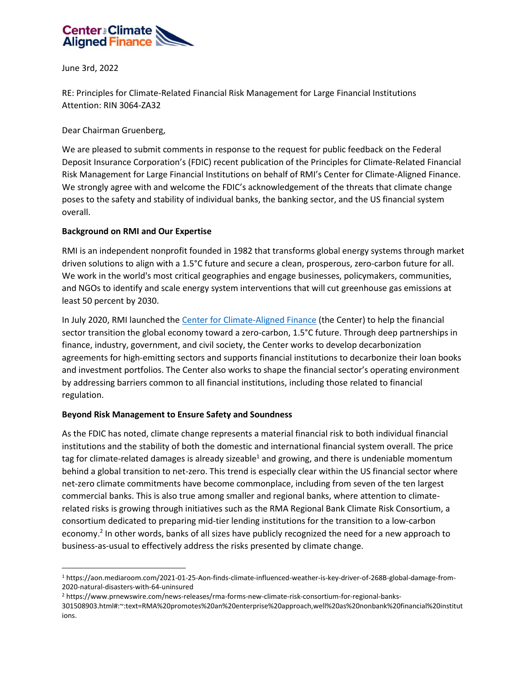

June 3rd, 2022

RE: Principles for Climate-Related Financial Risk Management for Large Financial Institutions Attention: RIN 3064-ZA32

Dear Chairman Gruenberg,

We are pleased to submit comments in response to the request for public feedback on the Federal Deposit Insurance Corporation's (FDIC) recent publication of the Principles for Climate-Related Financial Risk Management for Large Financial Institutions on behalf of RMI's Center for Climate-Aligned Finance. We strongly agree with and welcome the FDIC's acknowledgement of the threats that climate change poses to the safety and stability of individual banks, the banking sector, and the US financial system overall.

## **Background on RMI and Our Expertise**

RMI is an independent nonprofit founded in 1982 that transforms global energy systems through market driven solutions to align with a 1.5°C future and secure a clean, prosperous, zero-carbon future for all. We work in the world's most critical geographies and engage businesses, policymakers, communities, and NGOs to identify and scale energy system interventions that will cut greenhouse gas emissions at least 50 percent by 2030.

In July 2020, RMI launched th[e Center for Climate-Aligned Finance](https://rockmtnins.sharepoint.com/sites/CenterforClimateAlignedFinance/Shared%20Documents/Pillar%202/1.%20Workstreams/Financial%20Regulation/Comment%20opportunities/OCC/climatealignment.org) (the Center) to help the financial sector transition the global economy toward a zero-carbon, 1.5°C future. Through deep partnerships in finance, industry, government, and civil society, the Center works to develop decarbonization agreements for high-emitting sectors and supports financial institutions to decarbonize their loan books and investment portfolios. The Center also works to shape the financial sector's operating environment by addressing barriers common to all financial institutions, including those related to financial regulation.

## **Beyond Risk Management to Ensure Safety and Soundness**

As the FDIC has noted, climate change represents a material financial risk to both individual financial institutions and the stability of both the domestic and international financial system overall. The price tag for climate-related damages is already sizeable<sup>1</sup> and growing, and there is undeniable momentum behind a global transition to net-zero. This trend is especially clear within the US financial sector where net-zero climate commitments have become commonplace, including from seven of the ten largest commercial banks. This is also true among smaller and regional banks, where attention to climaterelated risks is growing through initiatives such as the RMA Regional Bank Climate Risk Consortium, a consortium dedicated to preparing mid-tier lending institutions for the transition to a low-carbon economy.<sup>2</sup> In other words, banks of all sizes have publicly recognized the need for a new approach to business-as-usual to effectively address the risks presented by climate change.

<sup>1</sup> https://aon.mediaroom.com/2021-01-25-Aon-finds-climate-influenced-weather-is-key-driver-of-268B-global-damage-from-2020-natural-disasters-with-64-uninsured

<sup>2</sup> https://www.prnewswire.com/news-releases/rma-forms-new-climate-risk-consortium-for-regional-banks-

<sup>301508903.</sup>html#:~:text=RMA%20promotes%20an%20enterprise%20approach,well%20as%20nonbank%20financial%20institut ions.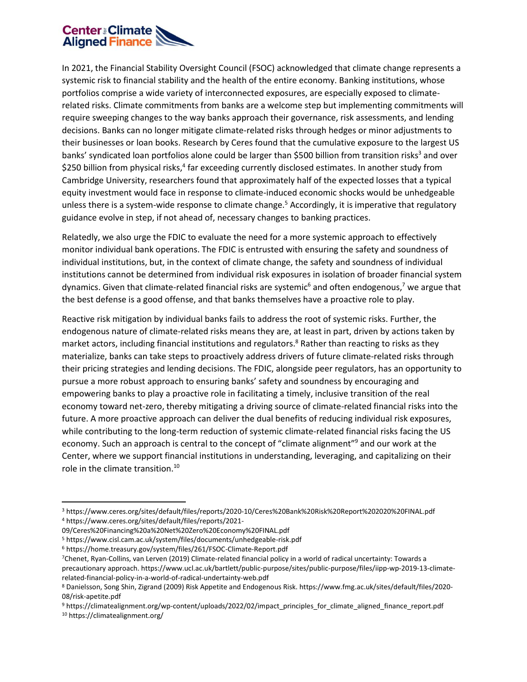

In 2021, the Financial Stability Oversight Council (FSOC) acknowledged that climate change represents a systemic risk to financial stability and the health of the entire economy. Banking institutions, whose portfolios comprise a wide variety of interconnected exposures, are especially exposed to climaterelated risks. Climate commitments from banks are a welcome step but implementing commitments will require sweeping changes to the way banks approach their governance, risk assessments, and lending decisions. Banks can no longer mitigate climate-related risks through hedges or minor adjustments to their businesses or loan books. Research by Ceres found that the cumulative exposure to the largest US banks' syndicated loan portfolios alone could be larger than \$500 billion from transition risks<sup>3</sup> and over \$250 billion from physical risks,<sup>4</sup> far exceeding currently disclosed estimates. In another study from Cambridge University, researchers found that approximately half of the expected losses that a typical equity investment would face in response to climate-induced economic shocks would be unhedgeable unless there is a system-wide response to climate change.<sup>5</sup> Accordingly, it is imperative that regulatory guidance evolve in step, if not ahead of, necessary changes to banking practices.

Relatedly, we also urge the FDIC to evaluate the need for a more systemic approach to effectively monitor individual bank operations. The FDIC is entrusted with ensuring the safety and soundness of individual institutions, but, in the context of climate change, the safety and soundness of individual institutions cannot be determined from individual risk exposures in isolation of broader financial system dynamics. Given that climate-related financial risks are systemic<sup>6</sup> and often endogenous,<sup>7</sup> we argue that the best defense is a good offense, and that banks themselves have a proactive role to play.

Reactive risk mitigation by individual banks fails to address the root of systemic risks. Further, the endogenous nature of climate-related risks means they are, at least in part, driven by actions taken by market actors, including financial institutions and regulators.<sup>8</sup> Rather than reacting to risks as they materialize, banks can take steps to proactively address drivers of future climate-related risks through their pricing strategies and lending decisions. The FDIC, alongside peer regulators, has an opportunity to pursue a more robust approach to ensuring banks' safety and soundness by encouraging and empowering banks to play a proactive role in facilitating a timely, inclusive transition of the real economy toward net-zero, thereby mitigating a driving source of climate-related financial risks into the future. A more proactive approach can deliver the dual benefits of reducing individual risk exposures, while contributing to the long-term reduction of systemic climate-related financial risks facing the US economy. Such an approach is central to the concept of "climate alignment"<sup>9</sup> and our work at the Center, where we support financial institutions in understanding, leveraging, and capitalizing on their role in the climate transition.<sup>10</sup>

<sup>3</sup> https://www.ceres.org/sites/default/files/reports/2020-10/Ceres%20Bank%20Risk%20Report%202020%20FINAL.pdf 4 https://www.ceres.org/sites/default/files/reports/2021-

<sup>09/</sup>Ceres%20Financing%20a%20Net%20Zero%20Economy%20FINAL.pdf

<sup>5</sup> https://www.cisl.cam.ac.uk/system/files/documents/unhedgeable-risk.pdf

<sup>&</sup>lt;sup>6</sup> https://home.treasury.gov/system/files/261/FSOC-Climate-Report.pdf

<sup>7</sup>Chenet, Ryan-Collins, van Lerven (2019) Climate-related financial policy in a world of radical uncertainty: Towards a precautionary approach. https://www.ucl.ac.uk/bartlett/public-purpose/sites/public-purpose/files/iipp-wp-2019-13-climaterelated-financial-policy-in-a-world-of-radical-undertainty-web.pdf

<sup>8</sup> Danielsson, Song Shin, Zigrand (2009) Risk Appetite and Endogenous Risk. https://www.fmg.ac.uk/sites/default/files/2020- 08/risk-apetite.pdf

<sup>9</sup> https://climatealignment.org/wp-content/uploads/2022/02/impact\_principles\_for\_climate\_aligned\_finance\_report.pdf 10 https://climatealignment.org/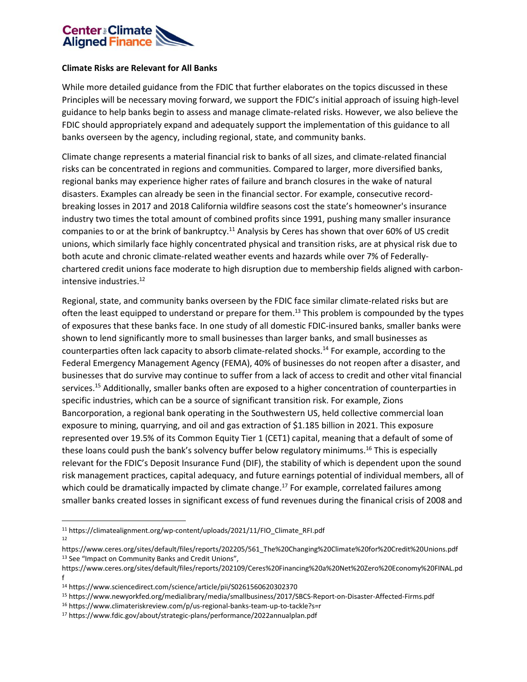

## **Climate Risks are Relevant for All Banks**

While more detailed guidance from the FDIC that further elaborates on the topics discussed in these Principles will be necessary moving forward, we support the FDIC's initial approach of issuing high-level guidance to help banks begin to assess and manage climate-related risks. However, we also believe the FDIC should appropriately expand and adequately support the implementation of this guidance to all banks overseen by the agency, including regional, state, and community banks.

Climate change represents a material financial risk to banks of all sizes, and climate-related financial risks can be concentrated in regions and communities. Compared to larger, more diversified banks, regional banks may experience higher rates of failure and branch closures in the wake of natural disasters. Examples can already be seen in the financial sector. For example, consecutive recordbreaking losses in 2017 and 2018 California wildfire seasons cost the state's homeowner's insurance industry two times the total amount of combined profits since 1991, pushing many smaller insurance companies to or at the brink of bankruptcy.<sup>11</sup> Analysis by Ceres has shown that over 60% of US credit unions, which similarly face highly concentrated physical and transition risks, are at physical risk due to both acute and chronic climate-related weather events and hazards while over 7% of Federallychartered credit unions face moderate to high disruption due to membership fields aligned with carbonintensive industries.<sup>12</sup>

Regional, state, and community banks overseen by the FDIC face similar climate-related risks but are often the least equipped to understand or prepare for them.<sup>13</sup> This problem is compounded by the types of exposures that these banks face. In one study of all domestic FDIC-insured banks, smaller banks were shown to lend significantly more to small businesses than larger banks, and small businesses as counterparties often lack capacity to absorb climate-related shocks.<sup>14</sup> For example, according to the Federal Emergency Management Agency (FEMA), 40% of businesses do not reopen after a disaster, and businesses that do survive may continue to suffer from a lack of access to credit and other vital financial services.<sup>15</sup> Additionally, smaller banks often are exposed to a higher concentration of counterparties in specific industries, which can be a source of significant transition risk. For example, Zions Bancorporation, a regional bank operating in the Southwestern US, held collective commercial loan exposure to mining, quarrying, and oil and gas extraction of \$1.185 billion in 2021. This exposure represented over 19.5% of its Common Equity Tier 1 (CET1) capital, meaning that a default of some of these loans could push the bank's solvency buffer below regulatory minimums.<sup>16</sup> This is especially relevant for the FDIC's Deposit Insurance Fund (DIF), the stability of which is dependent upon the sound risk management practices, capital adequacy, and future earnings potential of individual members, all of which could be dramatically impacted by climate change.<sup>17</sup> For example, correlated failures among smaller banks created losses in significant excess of fund revenues during the finanical crisis of 2008 and

<sup>11</sup> https://climatealignment.org/wp-content/uploads/2021/11/FIO\_Climate\_RFI.pdf 12

https://www.ceres.org/sites/default/files/reports/202205/561\_The%20Changing%20Climate%20for%20Credit%20Unions.pdf <sup>13</sup> See "Impact on Community Banks and Credit Unions",

https://www.ceres.org/sites/default/files/reports/202109/Ceres%20Financing%20a%20Net%20Zero%20Economy%20FINAL.pd f

<sup>14</sup> https://www.sciencedirect.com/science/article/pii/S0261560620302370

<sup>15</sup> https://www.newyorkfed.org/medialibrary/media/smallbusiness/2017/SBCS-Report-on-Disaster-Affected-Firms.pdf

<sup>16</sup> https://www.climateriskreview.com/p/us-regional-banks-team-up-to-tackle?s=r 17 https://www.fdic.gov/about/strategic-plans/performance/2022annualplan.pdf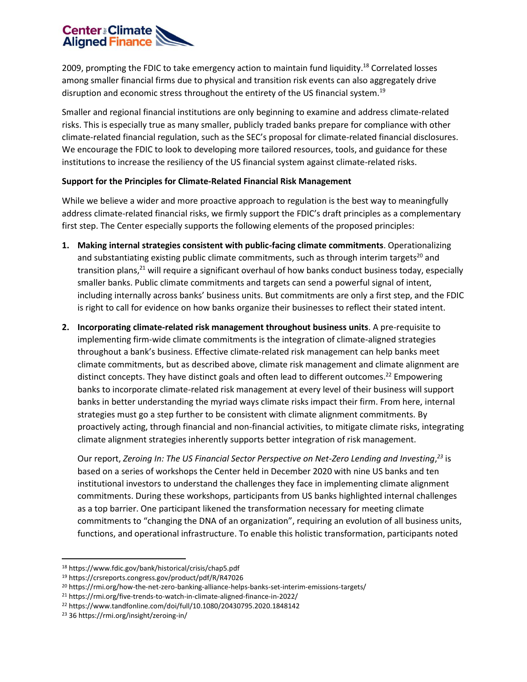

2009, prompting the FDIC to take emergency action to maintain fund liquidity.<sup>18</sup> Correlated losses among smaller financial firms due to physical and transition risk events can also aggregately drive disruption and economic stress throughout the entirety of the US financial system.<sup>19</sup>

Smaller and regional financial institutions are only beginning to examine and address climate-related risks. This is especially true as many smaller, publicly traded banks prepare for compliance with other climate-related financial regulation, such as the SEC's proposal for climate-related financial disclosures. We encourage the FDIC to look to developing more tailored resources, tools, and guidance for these institutions to increase the resiliency of the US financial system against climate-related risks.

## **Support for the Principles for Climate-Related Financial Risk Management**

While we believe a wider and more proactive approach to regulation is the best way to meaningfully address climate-related financial risks, we firmly support the FDIC's draft principles as a complementary first step. The Center especially supports the following elements of the proposed principles:

- **1. Making internal strategies consistent with public-facing climate commitments**. Operationalizing and substantiating existing public climate commitments, such as through interim targets<sup>20</sup> and transition plans,<sup>21</sup> will require a significant overhaul of how banks conduct business today, especially smaller banks. Public climate commitments and targets can send a powerful signal of intent, including internally across banks' business units. But commitments are only a first step, and the FDIC is right to call for evidence on how banks organize their businesses to reflect their stated intent.
- **2. Incorporating climate-related risk management throughout business units**. A pre-requisite to implementing firm-wide climate commitments is the integration of climate-aligned strategies throughout a bank's business. Effective climate-related risk management can help banks meet climate commitments, but as described above, climate risk management and climate alignment are distinct concepts. They have distinct goals and often lead to different outcomes.<sup>22</sup> Empowering banks to incorporate climate-related risk management at every level of their business will support banks in better understanding the myriad ways climate risks impact their firm. From here, internal strategies must go a step further to be consistent with climate alignment commitments. By proactively acting, through financial and non-financial activities, to mitigate climate risks, integrating climate alignment strategies inherently supports better integration of risk management.

Our report, *Zeroing In: The US Financial Sector Perspective on Net-Zero Lending and Investing*, *<sup>23</sup>* is based on a series of workshops the Center held in December 2020 with nine US banks and ten institutional investors to understand the challenges they face in implementing climate alignment commitments. During these workshops, participants from US banks highlighted internal challenges as a top barrier. One participant likened the transformation necessary for meeting climate commitments to "changing the DNA of an organization", requiring an evolution of all business units, functions, and operational infrastructure. To enable this holistic transformation, participants noted

<sup>18</sup> https://www.fdic.gov/bank/historical/crisis/chap5.pdf

<sup>19</sup> https://crsreports.congress.gov/product/pdf/R/R47026

<sup>&</sup>lt;sup>20</sup> https://rmi.org/how-the-net-zero-banking-alliance-helps-banks-set-interim-emissions-targets/

<sup>21</sup> https://rmi.org/five-trends-to-watch-in-climate-aligned-finance-in-2022/

<sup>22</sup> https://www.tandfonline.com/doi/full/10.1080/20430795.2020.1848142

<sup>23</sup> 36 https://rmi.org/insight/zeroing-in/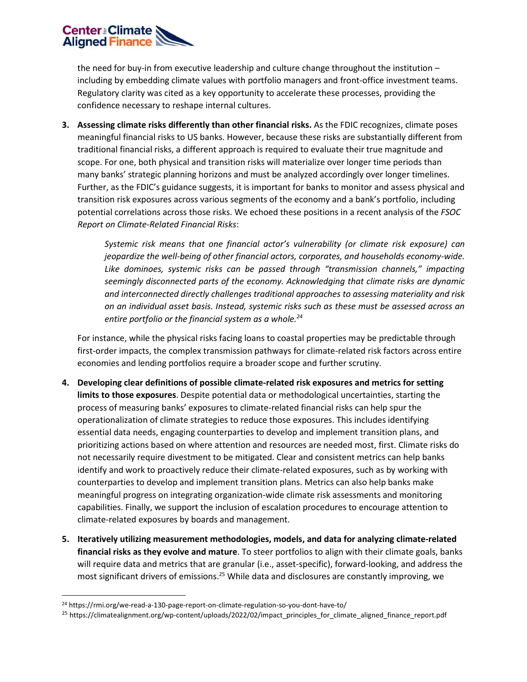

the need for buy-in from executive leadership and culture change throughout the institution – including by embedding climate values with portfolio managers and front-office investment teams. Regulatory clarity was cited as a key opportunity to accelerate these processes, providing the confidence necessary to reshape internal cultures.

**3. Assessing climate risks differently than other financial risks.** As the FDIC recognizes, climate poses meaningful financial risks to US banks. However, because these risks are substantially different from traditional financial risks, a different approach is required to evaluate their true magnitude and scope. For one, both physical and transition risks will materialize over longer time periods than many banks' strategic planning horizons and must be analyzed accordingly over longer timelines. Further, as the FDIC's guidance suggests, it is important for banks to monitor and assess physical and transition risk exposures across various segments of the economy and a bank's portfolio, including potential correlations across those risks. We echoed these positions in a recent analysis of the *FSOC Report on Climate-Related Financial Risks*:

> *Systemic risk means that one financial actor's vulnerability (or climate risk exposure) can jeopardize the well-being of other financial actors, corporates, and households economy-wide. Like dominoes, systemic risks can be passed through "transmission channels," impacting seemingly disconnected parts of the economy. Acknowledging that climate risks are dynamic and interconnected directly challenges traditional approaches to assessing materiality and risk on an individual asset basis. Instead, systemic risks such as these must be assessed across an entire portfolio or the financial system as a whole.<sup>24</sup>*

For instance, while the physical risks facing loans to coastal properties may be predictable through first-order impacts, the complex transmission pathways for climate-related risk factors across entire economies and lending portfolios require a broader scope and further scrutiny.

- **4. Developing clear definitions of possible climate-related risk exposures and metrics for setting limits to those exposures**. Despite potential data or methodological uncertainties, starting the process of measuring banks' exposures to climate-related financial risks can help spur the operationalization of climate strategies to reduce those exposures. This includes identifying essential data needs, engaging counterparties to develop and implement transition plans, and prioritizing actions based on where attention and resources are needed most, first. Climate risks do not necessarily require divestment to be mitigated. Clear and consistent metrics can help banks identify and work to proactively reduce their climate-related exposures, such as by working with counterparties to develop and implement transition plans. Metrics can also help banks make meaningful progress on integrating organization-wide climate risk assessments and monitoring capabilities. Finally, we support the inclusion of escalation procedures to encourage attention to climate-related exposures by boards and management.
- **5. Iteratively utilizing measurement methodologies, models, and data for analyzing climate-related financial risks as they evolve and mature**. To steer portfolios to align with their climate goals, banks will require data and metrics that are granular (i.e., asset-specific), forward-looking, and address the most significant drivers of emissions.<sup>25</sup> While data and disclosures are constantly improving, we

<sup>24</sup> https://rmi.org/we-read-a-130-page-report-on-climate-regulation-so-you-dont-have-to/

<sup>25</sup> https://climatealignment.org/wp-content/uploads/2022/02/impact\_principles\_for\_climate\_aligned\_finance\_report.pdf